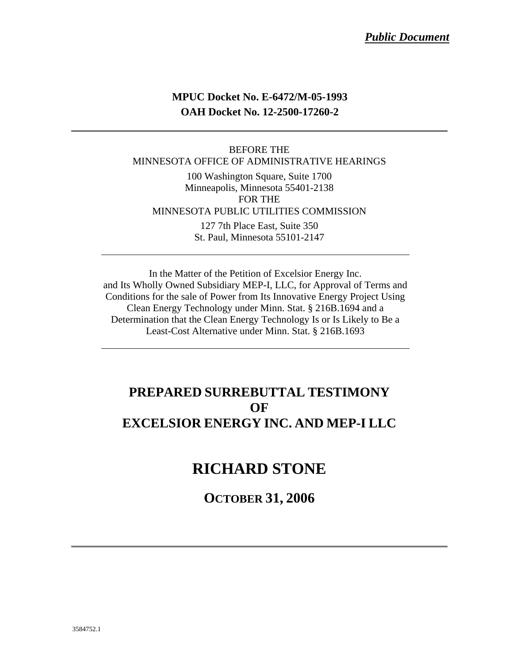## **MPUC Docket No. E-6472/M-05-1993 OAH Docket No. 12-2500-17260-2**

#### BEFORE THE MINNESOTA OFFICE OF ADMINISTRATIVE HEARINGS

100 Washington Square, Suite 1700 Minneapolis, Minnesota 55401-2138 FOR THE MINNESOTA PUBLIC UTILITIES COMMISSION 127 7th Place East, Suite 350

St. Paul, Minnesota 55101-2147

In the Matter of the Petition of Excelsior Energy Inc. and Its Wholly Owned Subsidiary MEP-I, LLC, for Approval of Terms and Conditions for the sale of Power from Its Innovative Energy Project Using Clean Energy Technology under Minn. Stat. § 216B.1694 and a Determination that the Clean Energy Technology Is or Is Likely to Be a Least-Cost Alternative under Minn. Stat. § 216B.1693

## **PREPARED SURREBUTTAL TESTIMONY OF EXCELSIOR ENERGY INC. AND MEP-I LLC**

# **RICHARD STONE**

**OCTOBER 31, 2006**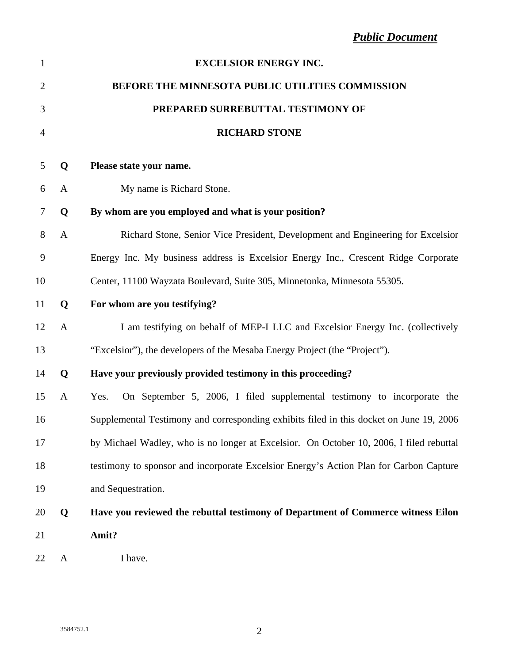| $\mathbf{1}$   |              | <b>EXCELSIOR ENERGY INC.</b>                                                            |
|----------------|--------------|-----------------------------------------------------------------------------------------|
| $\overline{c}$ |              | BEFORE THE MINNESOTA PUBLIC UTILITIES COMMISSION                                        |
| 3              |              | PREPARED SURREBUTTAL TESTIMONY OF                                                       |
| $\overline{4}$ |              | <b>RICHARD STONE</b>                                                                    |
| 5              | Q            | Please state your name.                                                                 |
| 6              | A            | My name is Richard Stone.                                                               |
| 7              | Q            | By whom are you employed and what is your position?                                     |
| 8              | $\mathbf{A}$ | Richard Stone, Senior Vice President, Development and Engineering for Excelsior         |
| 9              |              | Energy Inc. My business address is Excelsior Energy Inc., Crescent Ridge Corporate      |
| 10             |              | Center, 11100 Wayzata Boulevard, Suite 305, Minnetonka, Minnesota 55305.                |
| 11             | Q            | For whom are you testifying?                                                            |
| 12             | $\mathbf{A}$ | I am testifying on behalf of MEP-I LLC and Excelsior Energy Inc. (collectively          |
| 13             |              | "Excelsior"), the developers of the Mesaba Energy Project (the "Project").              |
| 14             | Q            | Have your previously provided testimony in this proceeding?                             |
| 15             | $\mathbf{A}$ | On September 5, 2006, I filed supplemental testimony to incorporate the<br>Yes.         |
| 16             |              | Supplemental Testimony and corresponding exhibits filed in this docket on June 19, 2006 |
| 17             |              | by Michael Wadley, who is no longer at Excelsior. On October 10, 2006, I filed rebuttal |
| 18             |              | testimony to sponsor and incorporate Excelsior Energy's Action Plan for Carbon Capture  |
| 19             |              | and Sequestration.                                                                      |
| 20             | Q            | Have you reviewed the rebuttal testimony of Department of Commerce witness Eilon        |
| 21             |              | Amit?                                                                                   |
| 22             | $\mathbf{A}$ | I have.                                                                                 |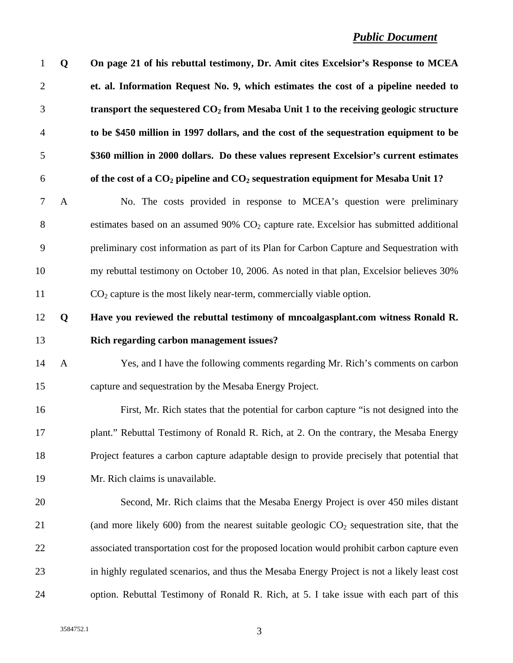### *Public Document*

| Q            | On page 21 of his rebuttal testimony, Dr. Amit cites Excelsior's Response to MCEA                     |
|--------------|-------------------------------------------------------------------------------------------------------|
|              | et. al. Information Request No. 9, which estimates the cost of a pipeline needed to                   |
|              | transport the sequestered $CO2$ from Mesaba Unit 1 to the receiving geologic structure                |
|              | to be \$450 million in 1997 dollars, and the cost of the sequestration equipment to be                |
|              | \$360 million in 2000 dollars. Do these values represent Excelsior's current estimates                |
|              | of the cost of a $CO2$ pipeline and $CO2$ sequestration equipment for Mesaba Unit 1?                  |
| $\mathbf{A}$ | No. The costs provided in response to MCEA's question were preliminary                                |
|              | estimates based on an assumed $90\%$ CO <sub>2</sub> capture rate. Excelsior has submitted additional |
|              | preliminary cost information as part of its Plan for Carbon Capture and Sequestration with            |
|              | my rebuttal testimony on October 10, 2006. As noted in that plan, Excelsior believes 30%              |
|              | $CO2$ capture is the most likely near-term, commercially viable option.                               |
| Q            | Have you reviewed the rebuttal testimony of mncoalgasplant.com witness Ronald R.                      |
|              | Rich regarding carbon management issues?                                                              |
| $\mathbf{A}$ | Yes, and I have the following comments regarding Mr. Rich's comments on carbon                        |
|              | capture and sequestration by the Mesaba Energy Project.                                               |
|              | First, Mr. Rich states that the potential for carbon capture "is not designed into the                |
|              | plant." Rebuttal Testimony of Ronald R. Rich, at 2. On the contrary, the Mesaba Energy                |
|              | Project features a carbon capture adaptable design to provide precisely that potential that           |
|              | Mr. Rich claims is unavailable.                                                                       |
|              | Second, Mr. Rich claims that the Mesaba Energy Project is over 450 miles distant                      |
|              | (and more likely 600) from the nearest suitable geologic $CO2$ sequestration site, that the           |
|              | associated transportation cost for the proposed location would prohibit carbon capture even           |
|              | in highly regulated scenarios, and thus the Mesaba Energy Project is not a likely least cost          |
|              | option. Rebuttal Testimony of Ronald R. Rich, at 5. I take issue with each part of this               |
|              |                                                                                                       |